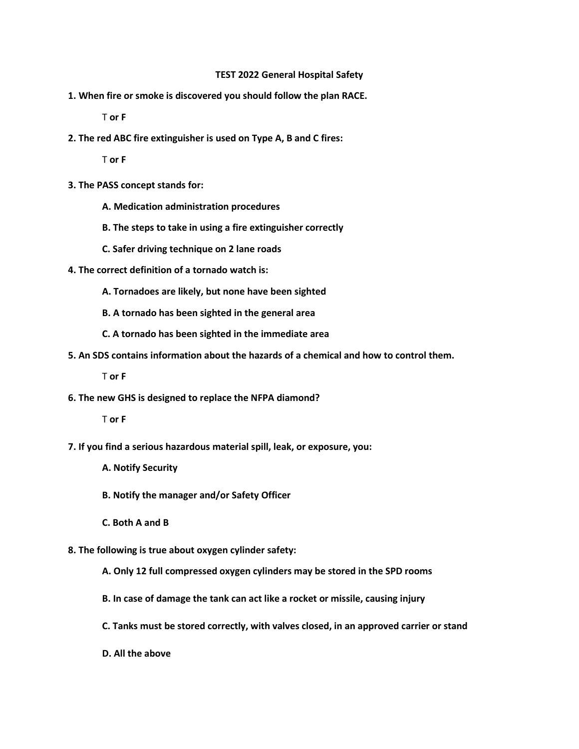## **TEST 2022 General Hospital Safety**

**1. When fire or smoke is discovered you should follow the plan RACE.**

T **or F** 

**2. The red ABC fire extinguisher is used on Type A, B and C fires:**

T **or F** 

- **3. The PASS concept stands for:**
	- **A. Medication administration procedures**
	- **B. The steps to take in using a fire extinguisher correctly**
	- **C. Safer driving technique on 2 lane roads**
- **4. The correct definition of a tornado watch is:**
	- **A. Tornadoes are likely, but none have been sighted**
	- **B. A tornado has been sighted in the general area**
	- **C. A tornado has been sighted in the immediate area**
- **5. An SDS contains information about the hazards of a chemical and how to control them.**

T **or F** 

**6. The new GHS is designed to replace the NFPA diamond?**

T **or F** 

- **7. If you find a serious hazardous material spill, leak, or exposure, you:**
	- **A. Notify Security**
	- **B. Notify the manager and/or Safety Officer**
	- **C. Both A and B**
- **8. The following is true about oxygen cylinder safety:**
	- **A. Only 12 full compressed oxygen cylinders may be stored in the SPD rooms**
	- **B. In case of damage the tank can act like a rocket or missile, causing injury**
	- **C. Tanks must be stored correctly, with valves closed, in an approved carrier or stand**
	- **D. All the above**